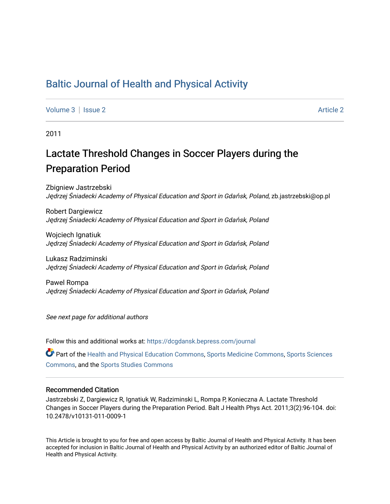# [Baltic Journal of Health and Physical Activity](https://dcgdansk.bepress.com/journal)

[Volume 3](https://dcgdansk.bepress.com/journal/vol3) | [Issue 2](https://dcgdansk.bepress.com/journal/vol3/iss2) Article 2

2011

# Lactate Threshold Changes in Soccer Players during the Preparation Period

Zbigniew Jastrzebski <sup>J</sup>ędrzej Śniadecki Academy of Physical Education and Sport in Gdańsk, Poland, zb.jastrzebski@op.pl

Robert Dargiewicz <sup>J</sup>ędrzej Śniadecki Academy of Physical Education and Sport in Gdańsk, Poland

Wojciech Ignatiuk <sup>J</sup>ędrzej Śniadecki Academy of Physical Education and Sport in Gdańsk, Poland

Lukasz Radziminski <sup>J</sup>ędrzej Śniadecki Academy of Physical Education and Sport in Gdańsk, Poland

Pawel Rompa <sup>J</sup>ędrzej Śniadecki Academy of Physical Education and Sport in Gdańsk, Poland

See next page for additional authors

Follow this and additional works at: [https://dcgdansk.bepress.com/journal](https://dcgdansk.bepress.com/journal?utm_source=dcgdansk.bepress.com%2Fjournal%2Fvol3%2Fiss2%2F2&utm_medium=PDF&utm_campaign=PDFCoverPages)

Part of the [Health and Physical Education Commons](http://network.bepress.com/hgg/discipline/1327?utm_source=dcgdansk.bepress.com%2Fjournal%2Fvol3%2Fiss2%2F2&utm_medium=PDF&utm_campaign=PDFCoverPages), [Sports Medicine Commons,](http://network.bepress.com/hgg/discipline/1331?utm_source=dcgdansk.bepress.com%2Fjournal%2Fvol3%2Fiss2%2F2&utm_medium=PDF&utm_campaign=PDFCoverPages) [Sports Sciences](http://network.bepress.com/hgg/discipline/759?utm_source=dcgdansk.bepress.com%2Fjournal%2Fvol3%2Fiss2%2F2&utm_medium=PDF&utm_campaign=PDFCoverPages) [Commons](http://network.bepress.com/hgg/discipline/759?utm_source=dcgdansk.bepress.com%2Fjournal%2Fvol3%2Fiss2%2F2&utm_medium=PDF&utm_campaign=PDFCoverPages), and the [Sports Studies Commons](http://network.bepress.com/hgg/discipline/1198?utm_source=dcgdansk.bepress.com%2Fjournal%2Fvol3%2Fiss2%2F2&utm_medium=PDF&utm_campaign=PDFCoverPages) 

#### Recommended Citation

Jastrzebski Z, Dargiewicz R, Ignatiuk W, Radziminski L, Rompa P, Konieczna A. Lactate Threshold Changes in Soccer Players during the Preparation Period. Balt J Health Phys Act. 2011;3(2):96-104. doi: 10.2478/v10131-011-0009-1

This Article is brought to you for free and open access by Baltic Journal of Health and Physical Activity. It has been accepted for inclusion in Baltic Journal of Health and Physical Activity by an authorized editor of Baltic Journal of Health and Physical Activity.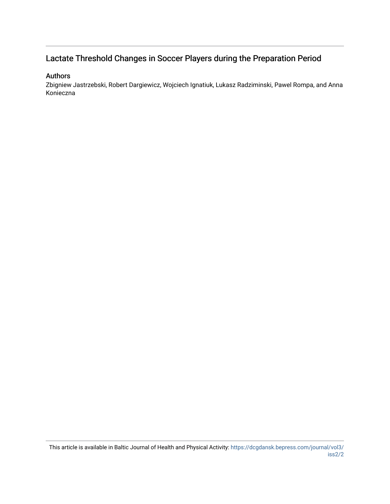# Lactate Threshold Changes in Soccer Players during the Preparation Period

#### Authors

Zbigniew Jastrzebski, Robert Dargiewicz, Wojciech Ignatiuk, Lukasz Radziminski, Pawel Rompa, and Anna Konieczna

This article is available in Baltic Journal of Health and Physical Activity: [https://dcgdansk.bepress.com/journal/vol3/](https://dcgdansk.bepress.com/journal/vol3/iss2/2) [iss2/2](https://dcgdansk.bepress.com/journal/vol3/iss2/2)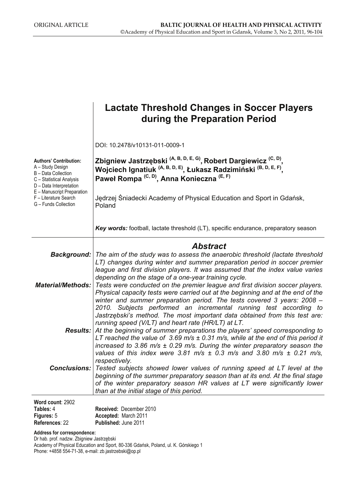|                                                                                                                                 | Lactate Threshold Changes in Soccer Players<br>during the Preparation Period                                                                                                                                                                                                                                                                                                                                                                                                                                                                                                                                                               |
|---------------------------------------------------------------------------------------------------------------------------------|--------------------------------------------------------------------------------------------------------------------------------------------------------------------------------------------------------------------------------------------------------------------------------------------------------------------------------------------------------------------------------------------------------------------------------------------------------------------------------------------------------------------------------------------------------------------------------------------------------------------------------------------|
|                                                                                                                                 | DOI: 10.2478/v10131-011-0009-1                                                                                                                                                                                                                                                                                                                                                                                                                                                                                                                                                                                                             |
| <b>Authors' Contribution:</b><br>A - Study Design<br>B - Data Collection<br>C - Statistical Analysis<br>D - Data Interpretation | Zbigniew Jastrzębski <sup>(A, B, D, E, G)</sup> , Robert Dargiewicz <sup>(C, D)</sup> ,<br>Wojciech Ignatiuk <sup>(A, B, D, E)</sup> , Łukasz Radzimiński <sup>(B, D, E, F)</sup> ,<br>Paweł Rompa <sup>(C, D)</sup> , Anna Konieczna <sup>(E, F)</sup>                                                                                                                                                                                                                                                                                                                                                                                    |
| E - Manuscript Preparation<br>F - Literature Search<br>G - Funds Collection                                                     | Jędrzej Śniadecki Academy of Physical Education and Sport in Gdańsk,<br>Poland                                                                                                                                                                                                                                                                                                                                                                                                                                                                                                                                                             |
|                                                                                                                                 | <b>Key words:</b> football, lactate threshold (LT), specific endurance, preparatory season                                                                                                                                                                                                                                                                                                                                                                                                                                                                                                                                                 |
|                                                                                                                                 | <b>Abstract</b>                                                                                                                                                                                                                                                                                                                                                                                                                                                                                                                                                                                                                            |
| <b>Material/Methods:</b>                                                                                                        | <b>Background:</b> The aim of the study was to assess the anaerobic threshold (lactate threshold<br>LT) changes during winter and summer preparation period in soccer premier<br>league and first division players. It was assumed that the index value varies<br>depending on the stage of a one-year training cycle.<br>Tests were conducted on the premier league and first division soccer players.<br>Physical capacity tests were carried out at the beginning and at the end of the<br>winter and summer preparation period. The tests covered 3 years: 2008 -<br>2010. Subjects performed an incremental running test according to |
|                                                                                                                                 | Jastrzębski's method. The most important data obtained from this test are:<br>running speed (V/LT) and heart rate (HR/LT) at LT.<br><b>Results:</b> At the beginning of summer preparations the players' speed corresponding to<br>LT reached the value of 3.69 m/s $\pm$ 0.31 m/s, while at the end of this period it<br>increased to 3.86 m/s $\pm$ 0.29 m/s. During the winter preparatory season the<br>values of this index were 3.81 m/s $\pm$ 0.3 m/s and 3.80 m/s $\pm$ 0.21 m/s,                                                                                                                                                  |
| <b>Conclusions:</b>                                                                                                             | respectively.<br>Tested subjects showed lower values of running speed at LT level at the<br>beginning of the summer preparatory season than at its end. At the final stage<br>of the winter preparatory season HR values at LT were significantly lower<br>than at the initial stage of this period.                                                                                                                                                                                                                                                                                                                                       |
| Word count: 2902                                                                                                                |                                                                                                                                                                                                                                                                                                                                                                                                                                                                                                                                                                                                                                            |

| <b>Received: December 2010</b> |
|--------------------------------|
| Accepted: March 2011           |
| <b>Published: June 2011</b>    |
|                                |

**Address for correspondence:** 

Dr hab. prof. nadzw. Zbigniew Jastrzębski Academy of Physical Education and Sport, 80-336 Gdańsk, Poland, ul. K. Górskiego 1 Phone: +4858 554-71-38, e-mail: zb.jastrzebski@op.pl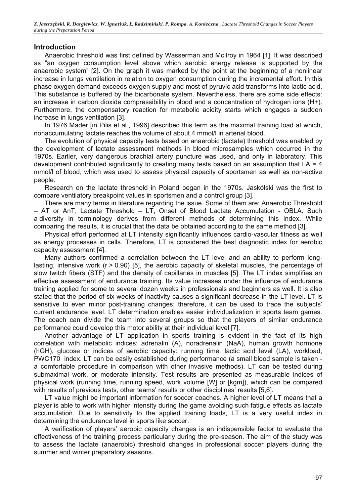# **Introduction**

Anaerobic threshold was first defined by Wasserman and McIlroy in 1964 [1]. It was described as "an oxygen consumption level above which aerobic energy release is supported by the anaerobic system" [2]. On the graph it was marked by the point at the beginning of a nonlinear increase in lungs ventilation in relation to oxygen consumption during the incremental effort. In this phase oxygen demand exceeds oxygen supply and most of pyruvic acid transforms into lactic acid. This substance is buffered by the bicarbonate system. Nevertheless, there are some side effects: an increase in carbon dioxide compressibility in blood and a concentration of hydrogen ions (H+). Furthermore, the compensatory reaction for metabolic acidity starts which engages a sudden increase in lungs ventilation [3].

In 1976 Mader [in Pilis et al., 1996] described this term as the maximal training load at which, nonaccumulating lactate reaches the volume of about 4 mmol/l in arterial blood.

The evolution of physical capacity tests based on anaerobic (lactate) threshold was enabled by the development of lactate assessment methods in blood microsamples which occurred in the 1970s. Earlier, very dangerous brachial artery puncture was used, and only in laboratory. This development contributed significantly to creating many tests based on an assumption that  $LA = 4$ mmol/l of blood, which was used to assess physical capacity of sportsmen as well as non-active people.

Research on the lactate threshold in Poland began in the 1970s. Jaskólski was the first to compare ventilatory breakpoint values in sportsmen and a control group [3].

There are many terms in literature regarding the issue. Some of them are: Anaerobic Threshold – AT or AnT, Lactate Threshold – LT, Onset of Blood Lactate Accumulation - OBLA. Such a diversity in terminology derives from different methods of determining this index. While comparing the results, it is crucial that the data be obtained according to the same method [3].

Physical effort performed at LT intensity significantly influences cardio-vascular fitness as well as energy processes in cells. Therefore, LT is considered the best diagnostic index for aerobic capacity assessment [4].

Many authors confirmed a correlation between the LT level and an ability to perform longlasting, intensive work (r > 0.90) [5], the aerobic capacity of skeletal muscles, the percentage of slow twitch fibers (STF) and the density of capillaries in muscles [5]. The LT index simplifies an effective assessment of endurance training. Its value increases under the influence of endurance training applied for some to several dozen weeks in professionals and beginners as well. It is also stated that the period of six weeks of inactivity causes a significant decrease in the LT level. LT is sensitive to even minor post-training changes; therefore, it can be used to trace the subjects' current endurance level. LT determination enables easier individualization in sports team games. The coach can divide the team into several groups so that the players of similar endurance performance could develop this motor ability at their individual level [7].

Another advantage of LT application in sports training is evident in the fact of its high correlation with metabolic indices: adrenalin (A), noradrenalin (NaA), human growth hormone (hGH), glucose or indices of aerobic capacity: running time, lactic acid level (LA), workload, PWC170 index. LT can be easily established during performance (a small blood sample is taken a comfortable procedure in comparison with other invasive methods). LT can be tested during submaximal work, or moderate intensity. Test results are presented as measurable indices of physical work (running time, running speed, work volume [W] or [kgm]), which can be compared with results of previous tests, other teams' results or other disciplines' results [5,6].

LT value might be important information for soccer coaches. A higher level of LT means that a player is able to work with higher intensity during the game avoiding such fatigue effects as lactate accumulation. Due to sensitivity to the applied training loads, LT is a very useful index in determining the endurance level in sports like soccer.

A verification of players' aerobic capacity changes is an indispensible factor to evaluate the effectiveness of the training process particularly during the pre-season. The aim of the study was to assess the lactate (anaerobic) threshold changes in professional soccer players during the summer and winter preparatory seasons.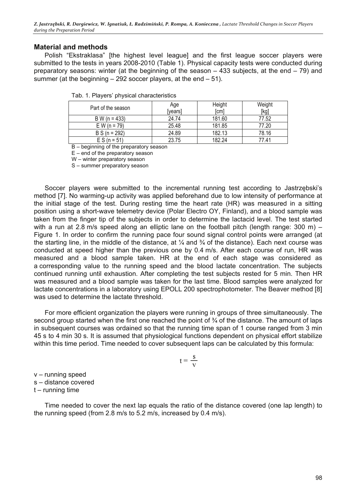### **Material and methods**

Polish "Ekstraklasa" [the highest level league] and the first league soccer players were submitted to the tests in years 2008-2010 (Table 1). Physical capacity tests were conducted during preparatory seasons: winter (at the beginning of the season  $-433$  subjects, at the end  $-79$ ) and summer (at the beginning  $-292$  soccer players, at the end  $-51$ ).

|  |  |  |  | Tab. 1. Players' physical characteristics |
|--|--|--|--|-------------------------------------------|
|--|--|--|--|-------------------------------------------|

| Part of the season | Age<br>[years] | Height<br>[cm] | Weight<br>[kg] |
|--------------------|----------------|----------------|----------------|
| B W (n = 433)      | 24.74          | 181.60         | 77.52          |
| $EW (n = 79)$      | 25.48          | 181.85         | 77.20          |
| $B S (n = 292)$    | 24.89          | 182.13         | 78.16          |
| $ES (n = 51)$      | 23.75          | 182.24         | 77.41          |

B – beginning of the preparatory season

E – end of the preparatory season

W – winter preparatory season

S – summer preparatory season

Soccer players were submitted to the incremental running test according to Jastrzębski's method [7]. No warming-up activity was applied beforehand due to low intensity of performance at the initial stage of the test. During resting time the heart rate (HR) was measured in a sitting position using a short-wave telemetry device (Polar Electro OY, Finland), and a blood sample was taken from the finger tip of the subjects in order to determine the lactacid level. The test started with a run at 2.8 m/s speed along an elliptic lane on the football pitch (length range:  $300$  m) – Figure 1. In order to confirm the running pace four sound signal control points were arranged (at the starting line, in the middle of the distance, at  $\frac{1}{4}$  and  $\frac{3}{4}$  of the distance). Each next course was conducted at speed higher than the previous one by 0.4 m/s. After each course of run, HR was measured and a blood sample taken. HR at the end of each stage was considered as a corresponding value to the running speed and the blood lactate concentration. The subjects continued running until exhaustion. After completing the test subjects rested for 5 min. Then HR was measured and a blood sample was taken for the last time. Blood samples were analyzed for lactate concentrations in a laboratory using EPOLL 200 spectrophotometer. The Beaver method [8] was used to determine the lactate threshold.

For more efficient organization the players were running in groups of three simultaneously. The second group started when the first one reached the point of  $\frac{3}{4}$  of the distance. The amount of laps in subsequent courses was ordained so that the running time span of 1 course ranged from 3 min 45 s to 4 min 30 s. It is assumed that physiological functions dependent on physical effort stabilize within this time period. Time needed to cover subsequent laps can be calculated by this formula:

$$
t=\frac{\,s\,}{\,v\,}
$$

v – running speed s – distance covered

t – running time

Time needed to cover the next lap equals the ratio of the distance covered (one lap length) to the running speed (from 2.8 m/s to 5.2 m/s, increased by 0.4 m/s).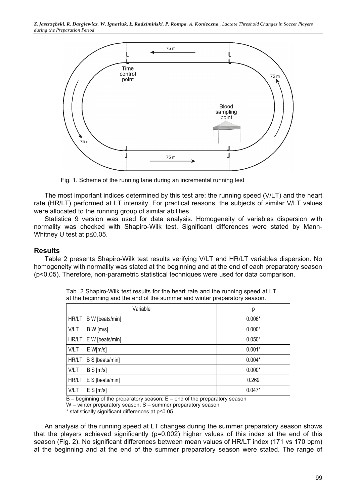

Fig. 1. Scheme of the running lane during an incremental running test

The most important indices determined by this test are: the running speed (V/LT) and the heart rate (HR/LT) performed at LT intensity. For practical reasons, the subjects of similar V/LT values were allocated to the running group of similar abilities.

Statistica 9 version was used for data analysis. Homogeneity of variables dispersion with normality was checked with Shapiro-Wilk test. Significant differences were stated by Mann-Whitney U test at p≤0.05.

#### **Results**

Table 2 presents Shapiro-Wilk test results verifying V/LT and HR/LT variables dispersion. No homogeneity with normality was stated at the beginning and at the end of each preparatory season (p<0.05). Therefore, non-parametric statistical techniques were used for data comparison.

| Variable                 | р        |
|--------------------------|----------|
| HR/LT B W [beats/min]    | $0.006*$ |
| <b>V/LT</b><br>B W [m/s] | $0.000*$ |
| HR/LT E W [beats/min]    | $0.050*$ |
| V/LT<br>$E$ W[m/s]       | $0.001*$ |
| HR/LT B S [beats/min]    | $0.004*$ |
| <b>V/LT</b><br>B S [m/s] | $0.000*$ |
| HR/LT E S [beats/min]    | 0.269    |
| V/LT<br>$E S$ [m/s]      | $0.047*$ |

Tab. 2 Shapiro-Wilk test results for the heart rate and the running speed at LT at the beginning and the end of the summer and winter preparatory season.

 $B -$  beginning of the preparatory season;  $E -$  end of the preparatory season

\* statistically significant differences at p≤0.05

An analysis of the running speed at LT changes during the summer preparatory season shows that the players achieved significantly (p=0.002) higher values of this index at the end of this season (Fig. 2). No significant differences between mean values of HR/LT index (171 vs 170 bpm) at the beginning and at the end of the summer preparatory season were stated. The range of

W – winter preparatory season; S – summer preparatory season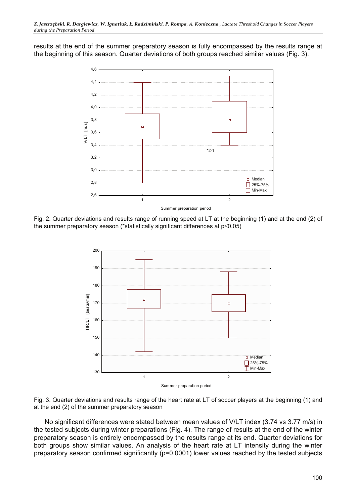results at the end of the summer preparatory season is fully encompassed by the results range at the beginning of this season. Quarter deviations of both groups reached similar values (Fig. 3).



Fig. 2. Quarter deviations and results range of running speed at LT at the beginning (1) and at the end (2) of the summer preparatory season (\*statistically significant differences at p≤0.05)



Fig. 3. Quarter deviations and results range of the heart rate at LT of soccer players at the beginning (1) and at the end (2) of the summer preparatory season

No significant differences were stated between mean values of V/LT index (3.74 vs 3.77 m/s) in the tested subjects during winter preparations (Fig. 4). The range of results at the end of the winter preparatory season is entirely encompassed by the results range at its end. Quarter deviations for both groups show similar values. An analysis of the heart rate at LT intensity during the winter preparatory season confirmed significantly (p=0.0001) lower values reached by the tested subjects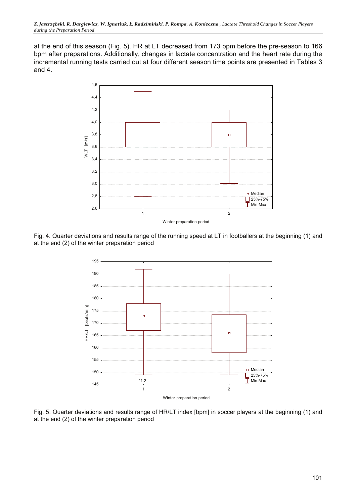at the end of this season (Fig. 5). HR at LT decreased from 173 bpm before the pre-season to 166 bpm after preparations. Additionally, changes in lactate concentration and the heart rate during the incremental running tests carried out at four different season time points are presented in Tables 3 and 4.



Fig. 4. Quarter deviations and results range of the running speed at LT in footballers at the beginning (1) and at the end (2) of the winter preparation period



Fig. 5. Quarter deviations and results range of HR/LT index [bpm] in soccer players at the beginning (1) and at the end (2) of the winter preparation period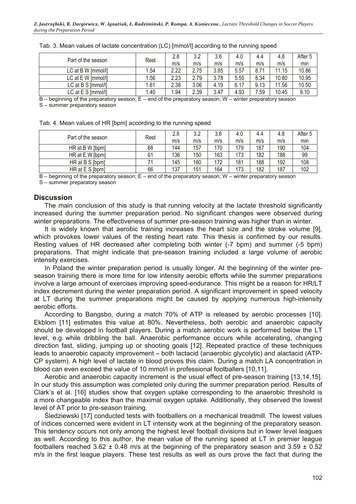| Part of the season | Rest | 2.8  | 3.2  | 3.6  | 4.0  | 4.4  | 4.8   | After 5 |
|--------------------|------|------|------|------|------|------|-------|---------|
|                    |      | m/s  | m/s  | m/s  | m/s  | m/s  | m/s   | min     |
| LC at B W [mmol/l] | .54  | 2.22 | 2.75 | 3.85 | 5.57 | 8.71 | 11.15 | 10.86   |
| LC at E W [mmol/l] | 1.56 | 2.23 | 2.79 | 3.78 | 5.55 | 8.34 | 10.80 | 10.95   |
| LC at B S [mmol/l] | . 61 | 2.38 | 3.06 | 4.19 | 6.17 | 9.13 | 11.56 | 10.50   |
| LC at E S [mmol/l] | .40  | .94  | 2.39 | 3.47 | 4.93 | .59  | 10.45 | 9.10    |

#### Tab. 3. Mean values of lactate concentration (LC) [mmol/l] according to the running speed

 $B$  – beginning of the preparatory season;  $E$  – end of the preparatory season; W – winter preparatory season S – summer preparatory season

|  | Tab. 4. Mean values of HR [bpm] according to the running speed |
|--|----------------------------------------------------------------|
|--|----------------------------------------------------------------|

| Part of the season |      | 2.8 | 3.2 | 3.6 | 4.0 | 4.4 | 4.8 | After 5 |
|--------------------|------|-----|-----|-----|-----|-----|-----|---------|
|                    | Rest | m/s | m/s | m/s | m/s | m/s | m/s | min     |
| HR at B W [bpm]    | 68   | 144 | 157 | 170 | 179 | 187 | 190 | 104     |
| HR at E W [bpm]    | 61   | 136 | 150 | 163 | 173 | 182 | 188 | 99      |
| HR at B S [bpm]    |      | 145 | 160 | 172 | 181 | 188 | 192 | 108     |
| HR at E S [bpm]    | 66   | 137 | 151 | 164 | 173 | 182 | 187 | 102     |

 $B$  – beginning of the preparatory season;  $E$  – end of the preparatory season; W – winter preparatory season

S – summer preparatory season

#### **Discussion**

The main conclusion of this study is that running velocity at the lactate threshold significantly increased during the summer preparation period. No significant changes were observed during winter preparations. The effectiveness of summer pre-season training was higher than in winter.

It is widely known that aerobic training increases the heart size and the stroke volume [9], which provokes lower values of the resting heart rate. This thesis is confirmed by our results. Resting values of HR decreased after completing both winter (-7 bpm) and summer (-5 bpm) preparations. That might indicate that pre-season training included a large volume of aerobic intensity exercises.

In Poland the winter preparation period is usually longer. At the beginning of the winter preseason training there is more time for low intensity aerobic efforts while the summer preparations involve a large amount of exercises improving speed-endurance. This might be a reason for HR/LT index decrement during the winter preparation period. A significant improvement in speed velocity at LT during the summer preparations might be caused by applying numerous high-intensity aerobic efforts.

According to Bangsbo, during a match 70% of ATP is released by aerobic processes [10]. Ekblom [11] estimates this value at 80%. Nevertheless, both aerobic and anaerobic capacity should be developed in football players. During a match aerobic work is performed below the LT level, e.g. while dribbling the ball. Anaerobic performance occurs while accelerating, changing direction fast, sliding, jumping up or shooting goals [12]. Repeated practice of these techniques leads to anaerobic capacity improvement – both lactacid (anaerobic glycolytic) and alactacid (ATP-CP system). A high level of lactate in blood proves this claim. During a match LA concentration in blood can even exceed the value of 10 mmol/l in professional footballers [10,11].

Aerobic and anaerobic capacity increment is the usual effect of pre-season training [13,14,15]. In our study this assumption was completed only during the summer preparation period. Results of Clark's et al. [16] studies show that oxygen uptake corresponding to the anaerobic threshold is a more changeable index than the maximal oxygen uptake. Additionally, they observed the lowest level of AT prior to pre-season training.

Śledziewski [17] conducted tests with footballers on a mechanical treadmill. The lowest values of indices concerned were evident in LT intensity work at the beginning of the preparatory season. This tendency occurs not only among the highest level football divisions but in lower level leagues as well. According to this author, the mean value of the running speed at LT in premier league footballers reached 3.62  $\pm$  0.48 m/s at the beginning of the preparatory season and 3.59  $\pm$  0.52 m/s in the first league players. These test results as well as ours prove the fact that during the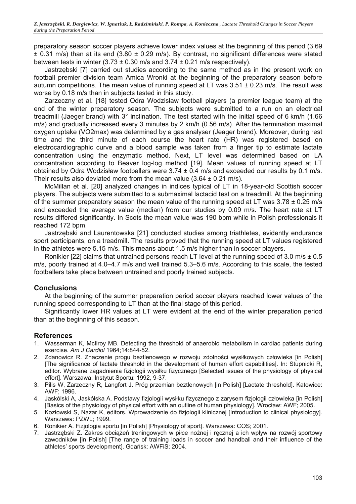preparatory season soccer players achieve lower index values at the beginning of this period (3.69  $\pm$  0.31 m/s) than at its end (3.80  $\pm$  0.29 m/s). By contrast, no significant differences were stated between tests in winter  $(3.73 \pm 0.30 \text{ m/s}$  and  $3.74 \pm 0.21 \text{ m/s}$  respectively).

Jastrzębski [7] carried out studies according to the same method as in the present work on football premier division team Amica Wronki at the beginning of the preparatory season before autumn competitions. The mean value of running speed at LT was  $3.51 \pm 0.23$  m/s. The result was worse by 0.18 m/s than in subjects tested in this study.

Zarzeczny et al. [18] tested Odra Wodzisław football players (a premier league team) at the end of the winter preparatory season. The subjects were submitted to a run on an electrical treadmill (Jaeger brand) with 3° inclination. The test started with the initial speed of 6 km/h (1.66 m/s) and gradually increased every 3 minutes by 2 km/h (0.56 m/s). After the termination maximal oxygen uptake (VO2max) was determined by a gas analyser (Jeager brand). Moreover, during rest time and the third minute of each course the heart rate (HR) was registered based on electrocardiographic curve and a blood sample was taken from a finger tip to estimate lactate concentration using the enzymatic method. Next, LT level was determined based on LA concentration according to Beaver log-log method [19]. Mean values of running speed at LT obtained by Odra Wodzisław footballers were  $3.74 \pm 0.4$  m/s and exceeded our results by 0.1 m/s. Their results also deviated more from the mean value  $(3.64 \pm 0.21 \text{ m/s})$ .

McMillan et al. [20] analyzed changes in indices typical of LT in 18-year-old Scottish soccer players. The subjects were submitted to a submaximal lactacid test on a treadmill. At the beginning of the summer preparatory season the mean value of the running speed at LT was  $3.78 \pm 0.25$  m/s and exceeded the average value (median) from our studies by 0.09 m/s. The heart rate at LT results differed significantly. In Scots the mean value was 190 bpm while in Polish professionals it reached 172 bpm.

Jastrzębski and Laurentowska [21] conducted studies among triathletes, evidently endurance sport participants, on a treadmill. The results proved that the running speed at LT values registered in the athletes were 5.15 m/s. This means about 1.5 m/s higher than in soccer players.

Ronikier [22] claims that untrained persons reach LT level at the running speed of 3.0 m/s  $\pm$  0.5 m/s, poorly trained at 4.0–4.7 m/s and well trained 5.3–5.6 m/s. According to this scale, the tested footballers take place between untrained and poorly trained subjects.

# **Conclusions**

At the beginning of the summer preparation period soccer players reached lower values of the running speed corresponding to LT than at the final stage of this period.

Significantly lower HR values at LT were evident at the end of the winter preparation period than at the beginning of this season.

# **References**

- 1. Wasserman K, McIlroy MB. Detecting the threshold of anaerobic metabolism in cardiac patients during exercise. *Am J Cardiol* 1964;14:844-52.
- 2. Zdanowicz R. Znaczenie progu beztlenowego w rozwoju zdolności wysiłkowych człowieka [in Polish] [The significance of lactate threshold in the development of human effort capabilities]. In: Stupnicki R, editor. Wybrane zagadnienia fizjologii wysiłku fizycznego [Selected issues of the physiology of physical effort]. Warszawa: Instytut Sportu; 1992, 9-37.
- 3. Pilis W, Zarzeczny R, Langfort J. Próg przemian beztlenowych [in Polish] [Lactate threshold]. Katowice: AWF; 1996.
- 4. Jaskólski A, Jaskólska A. Podstawy fizjologii wysiłku fizycznego z zarysem fizjologii człowieka [in Polish] [Basics of the physiology of physical effort with an outline of human physiology]. Wrocław: AWF; 2005.
- 5. Kozłowski S, Nazar K, editors. Wprowadzenie do fizjologii klinicznej [Introduction to clinical physiology]. Warszawa: PZWL; 1999.
- 6. Ronikier A. Fizjologia sportu [in Polish] [Physiology of sport]. Warszawa: COS; 2001.
- 7. Jastrzębski Z. Zakres obciążeń treningowych w piłce nożnej i ręcznej a ich wpływ na rozwój sportowy zawodników [in Polish] [The range of training loads in soccer and handball and their influence of the athletes' sports development]. Gdańsk: AWFiS; 2004.